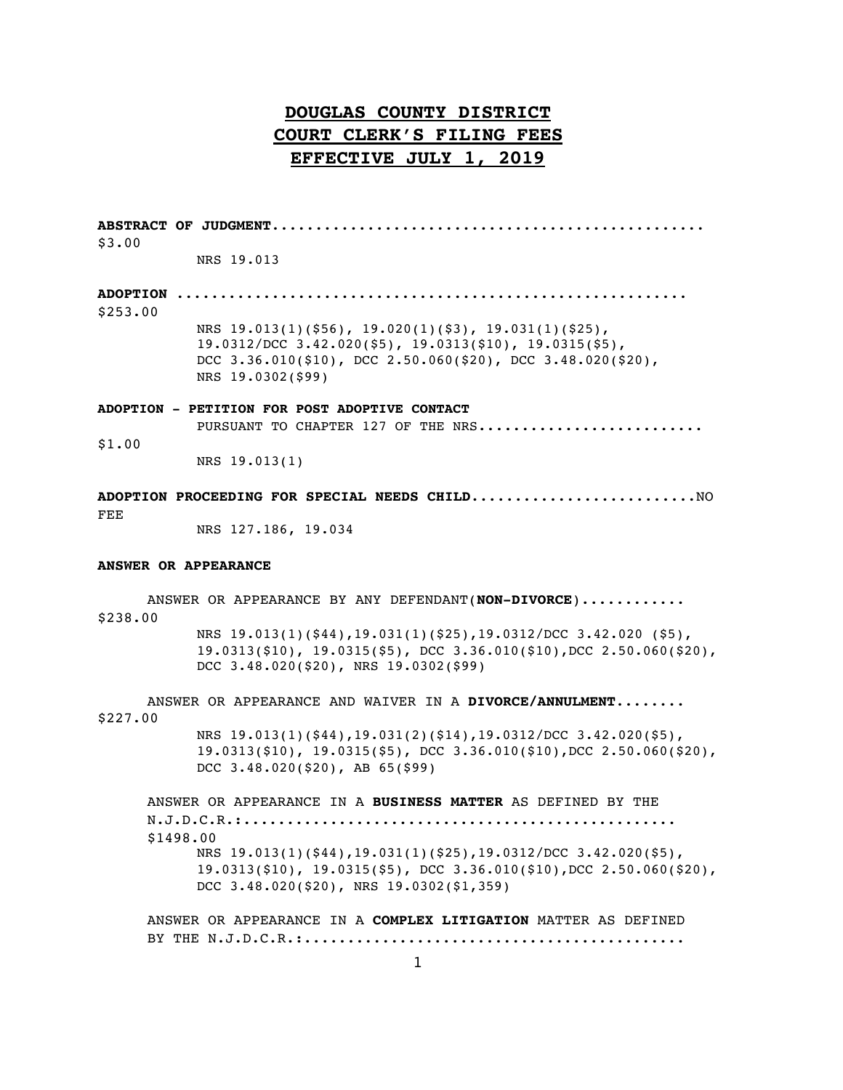**ABSTRACT OF JUDGMENT**.................................................. \$3.00 NRS 19.013 **ADOPTION** ........................................................... \$253.00

NRS 19.013(1)(\$56), 19.020(1)(\$3), 19.031(1)(\$25), 19.0312/DCC 3.42.020(\$5), 19.0313(\$10), 19.0315(\$5), DCC 3.36.010(\$10), DCC 2.50.060(\$20), DCC 3.48.020(\$20), NRS 19.0302(\$99)

### **ADOPTION - PETITION FOR POST ADOPTIVE CONTACT**

PURSUANT TO CHAPTER 127 OF THE NRS.......................... \$1.00

NRS 19.013(1)

### **ADOPTION PROCEEDING FOR SPECIAL NEEDS CHILD**..........................NO FEE

NRS 127.186, 19.034

### **ANSWER OR APPEARANCE**

ANSWER OR APPEARANCE BY ANY DEFENDANT(**NON-DIVORCE**)............ \$238.00 NRS 19.013(1)(\$44),19.031(1)(\$25),19.0312/DCC 3.42.020 (\$5), 19.0313(\$10), 19.0315(\$5), DCC 3.36.010(\$10),DCC 2.50.060(\$20), DCC 3.48.020(\$20), NRS 19.0302(\$99)

ANSWER OR APPEARANCE AND WAIVER IN A **DIVORCE/ANNULMENT**........ \$227.00

> NRS 19.013(1)(\$44),19.031(2)(\$14),19.0312/DCC 3.42.020(\$5), 19.0313(\$10), 19.0315(\$5), DCC 3.36.010(\$10),DCC 2.50.060(\$20), DCC 3.48.020(\$20), AB 65(\$99)

ANSWER OR APPEARANCE IN A **BUSINESS MATTER** AS DEFINED BY THE N.J.D.C.R.:.................................................. \$1498.00 NRS 19.013(1)(\$44),19.031(1)(\$25),19.0312/DCC 3.42.020(\$5), 19.0313(\$10), 19.0315(\$5), DCC 3.36.010(\$10),DCC 2.50.060(\$20), DCC 3.48.020(\$20), NRS 19.0302(\$1,359)

ANSWER OR APPEARANCE IN A **COMPLEX LITIGATION** MATTER AS DEFINED BY THE N.J.D.C.R.:............................................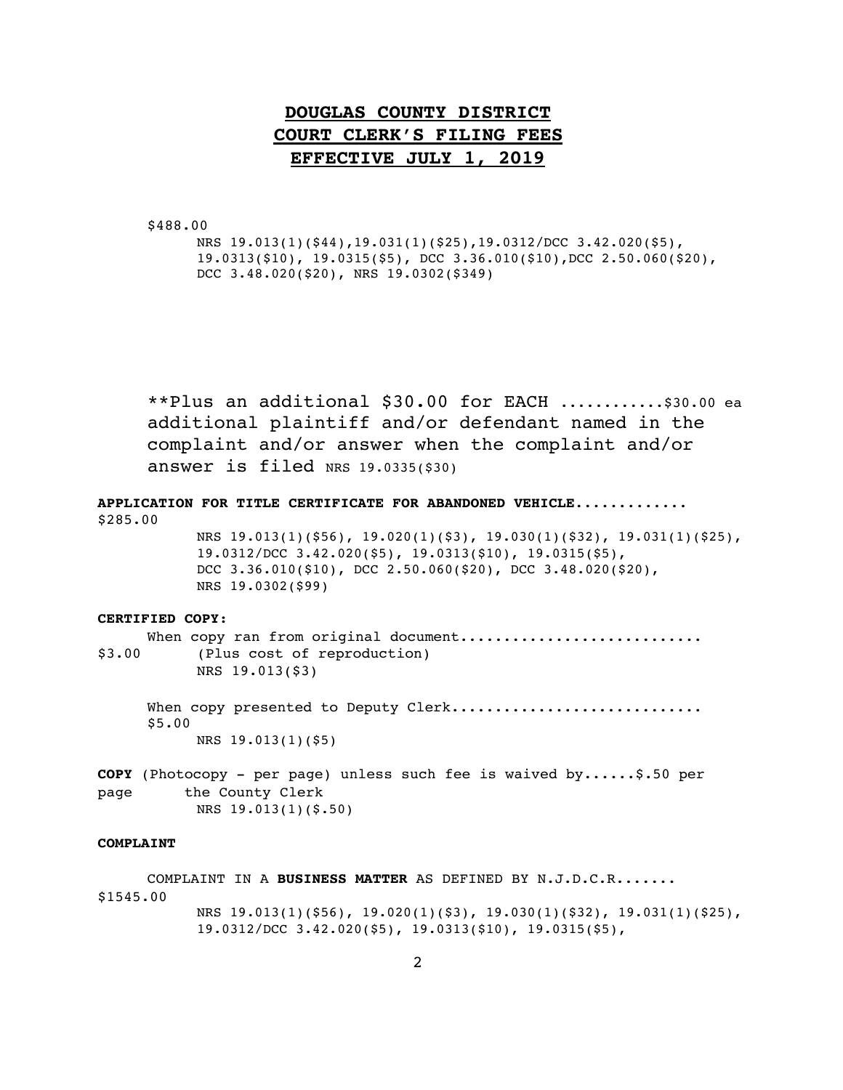\$488.00

NRS 19.013(1)(\$44),19.031(1)(\$25),19.0312/DCC 3.42.020(\$5), 19.0313(\$10), 19.0315(\$5), DCC 3.36.010(\$10),DCC 2.50.060(\$20), DCC 3.48.020(\$20), NRS 19.0302(\$349)

\*\*Plus an additional \$30.00 for EACH ............\$30.00 ea additional plaintiff and/or defendant named in the complaint and/or answer when the complaint and/or answer is filed NRS  $19.0335(530)$ 

**APPLICATION FOR TITLE CERTIFICATE FOR ABANDONED VEHICLE**............. \$285.00 NRS 19.013(1)(\$56), 19.020(1)(\$3), 19.030(1)(\$32), 19.031(1)(\$25),

19.0312/DCC 3.42.020(\$5), 19.0313(\$10), 19.0315(\$5), DCC 3.36.010(\$10), DCC 2.50.060(\$20), DCC 3.48.020(\$20), NRS 19.0302(\$99)

### **CERTIFIED COPY**:

When copy ran from original document........................... \$3.00 (Plus cost of reproduction) NRS 19.013(\$3)

When copy presented to Deputy Clerk............................ \$5.00 NRS 19.013(1)(\$5)

**COPY** (Photocopy - per page) unless such fee is waived by......\$.50 per page the County Clerk NRS 19.013(1)(\$.50)

### **COMPLAINT**

COMPLAINT IN A **BUSINESS MATTER** AS DEFINED BY N.J.D.C.R....... \$1545.00 NRS 19.013(1)(\$56), 19.020(1)(\$3), 19.030(1)(\$32), 19.031(1)(\$25), 19.0312/DCC 3.42.020(\$5), 19.0313(\$10), 19.0315(\$5),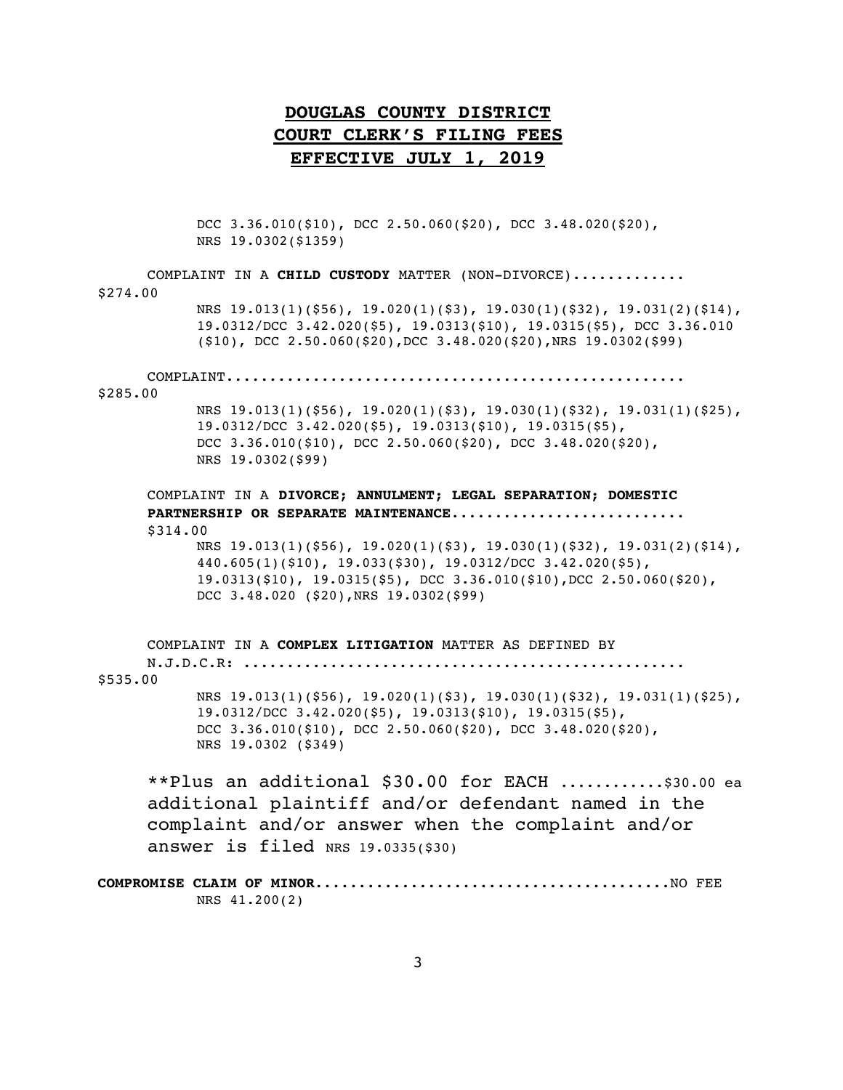DCC 3.36.010(\$10), DCC 2.50.060(\$20), DCC 3.48.020(\$20), NRS 19.0302(\$1359)

| COMPLAINT IN A CHILD CUSTODY MATTER (NON-DIVORCE)                                                                                                                                                                                   |  |
|-------------------------------------------------------------------------------------------------------------------------------------------------------------------------------------------------------------------------------------|--|
| \$274.00                                                                                                                                                                                                                            |  |
| NRS $19.013(1)(556)$ , $19.020(1)(53)$ , $19.030(1)(532)$ , $19.031(2)(514)$ ,<br>19.0312/DCC 3.42.020(\$5), 19.0313(\$10), 19.0315(\$5), DCC 3.36.010<br>$(510)$ , DCC 2.50.060(\$20), DCC 3.48.020(\$20), NRS 19.0302(\$99)       |  |
| COMPLAINT<br>\$285.00                                                                                                                                                                                                               |  |
| NRS $19.013(1)(556)$ , $19.020(1)(53)$ , $19.030(1)(532)$ , $19.031(1)(525)$ ,<br>19.0312/DCC 3.42.020(\$5), 19.0313(\$10), 19.0315(\$5),<br>DCC $3.36.010(510)$ , DCC $2.50.060(520)$ , DCC $3.48.020(520)$ ,<br>NRS 19.0302(\$99) |  |
|                                                                                                                                                                                                                                     |  |
| COMPLAINT IN A DIVORCE; ANNULMENT; LEGAL SEPARATION; DOMESTIC                                                                                                                                                                       |  |
| PARTNERSHIP OR SEPARATE MAINTENANCE                                                                                                                                                                                                 |  |
| \$314.00                                                                                                                                                                                                                            |  |
| NRS 19.013(1)(\$56), 19.020(1)(\$3), 19.030(1)(\$32), 19.031(2)(\$14),<br>$440.605(1)(510)$ , $19.033(530)$ , $19.0312/DCC$ $3.42.020(55)$ ,                                                                                        |  |
| $19.0313(510)$ , $19.0315(55)$ , DCC $3.36.010(510)$ , DCC $2.50.060(520)$ ,                                                                                                                                                        |  |
| DCC 3.48.020 (\$20), NRS 19.0302(\$99)                                                                                                                                                                                              |  |
| COMPLAINT IN A COMPLEX LITIGATION MATTER AS DEFINED BY                                                                                                                                                                              |  |
|                                                                                                                                                                                                                                     |  |
| \$535.00                                                                                                                                                                                                                            |  |
| NRS $19.013(1)(556)$ , $19.020(1)(53)$ , $19.030(1)(532)$ , $19.031(1)(525)$ ,<br>19.0312/DCC 3.42.020(\$5), 19.0313(\$10), 19.0315(\$5),                                                                                           |  |
| DCC 3.36.010(\$10), DCC 2.50.060(\$20), DCC 3.48.020(\$20),                                                                                                                                                                         |  |
| NRS 19.0302 (\$349)                                                                                                                                                                                                                 |  |
| **Plus an additional \$30.00 for EACH \$30.00 ea                                                                                                                                                                                    |  |
| additional plaintiff and/or defendant named in the                                                                                                                                                                                  |  |
| complaint and/or answer when the complaint and/or                                                                                                                                                                                   |  |
| answer is filed NRS $19.0335($ \$30)                                                                                                                                                                                                |  |
|                                                                                                                                                                                                                                     |  |
| NRS 41.200(2)                                                                                                                                                                                                                       |  |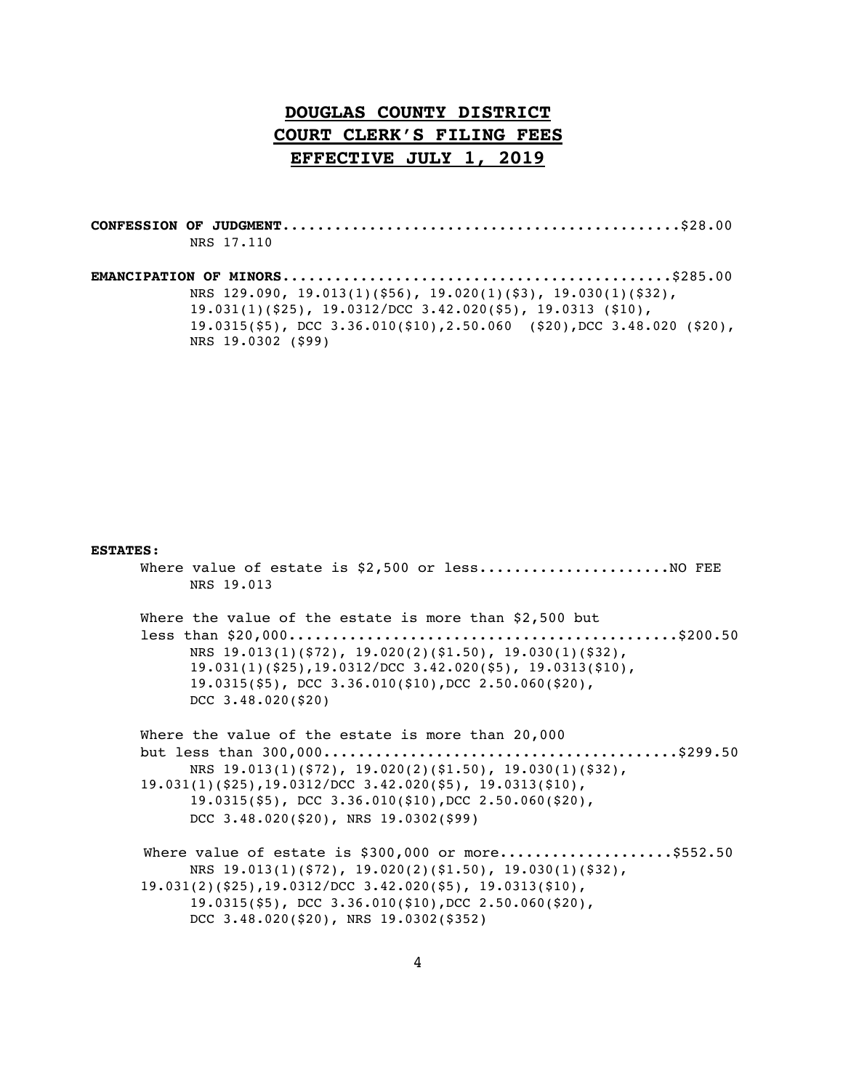**CONFESSION OF JUDGMENT**..............................................\$28.00 NRS 17.110 **EMANCIPATION OF MINORS**.............................................\$285.00 NRS 129.090, 19.013(1)(\$56), 19.020(1)(\$3), 19.030(1)(\$32),

19.031(1)(\$25), 19.0312/DCC 3.42.020(\$5), 19.0313 (\$10), 19.0315(\$5), DCC 3.36.010(\$10),2.50.060 (\$20),DCC 3.48.020 (\$20), NRS 19.0302 (\$99)

#### **ESTATES**:

Where value of estate is  $$2,500$  or less..........................NO FEE NRS 19.013

Where the value of the estate is more than \$2,500 but less than \$20,000.............................................\$200.50 NRS 19.013(1)(\$72), 19.020(2)(\$1.50), 19.030(1)(\$32), 19.031(1)(\$25),19.0312/DCC 3.42.020(\$5), 19.0313(\$10), 19.0315(\$5), DCC 3.36.010(\$10),DCC 2.50.060(\$20), DCC 3.48.020(\$20)

Where the value of the estate is more than 20,000 but less than 300,000.........................................\$299.50 NRS 19.013(1)(\$72), 19.020(2)(\$1.50), 19.030(1)(\$32), 19.031(1)(\$25),19.0312/DCC 3.42.020(\$5), 19.0313(\$10), 19.0315(\$5), DCC 3.36.010(\$10),DCC 2.50.060(\$20), DCC 3.48.020(\$20), NRS 19.0302(\$99)

Where value of estate is \$300,000 or more.....................\$552.50 NRS 19.013(1)(\$72), 19.020(2)(\$1.50), 19.030(1)(\$32), 19.031(2)(\$25),19.0312/DCC 3.42.020(\$5), 19.0313(\$10), 19.0315(\$5), DCC 3.36.010(\$10),DCC 2.50.060(\$20), DCC 3.48.020(\$20), NRS 19.0302(\$352)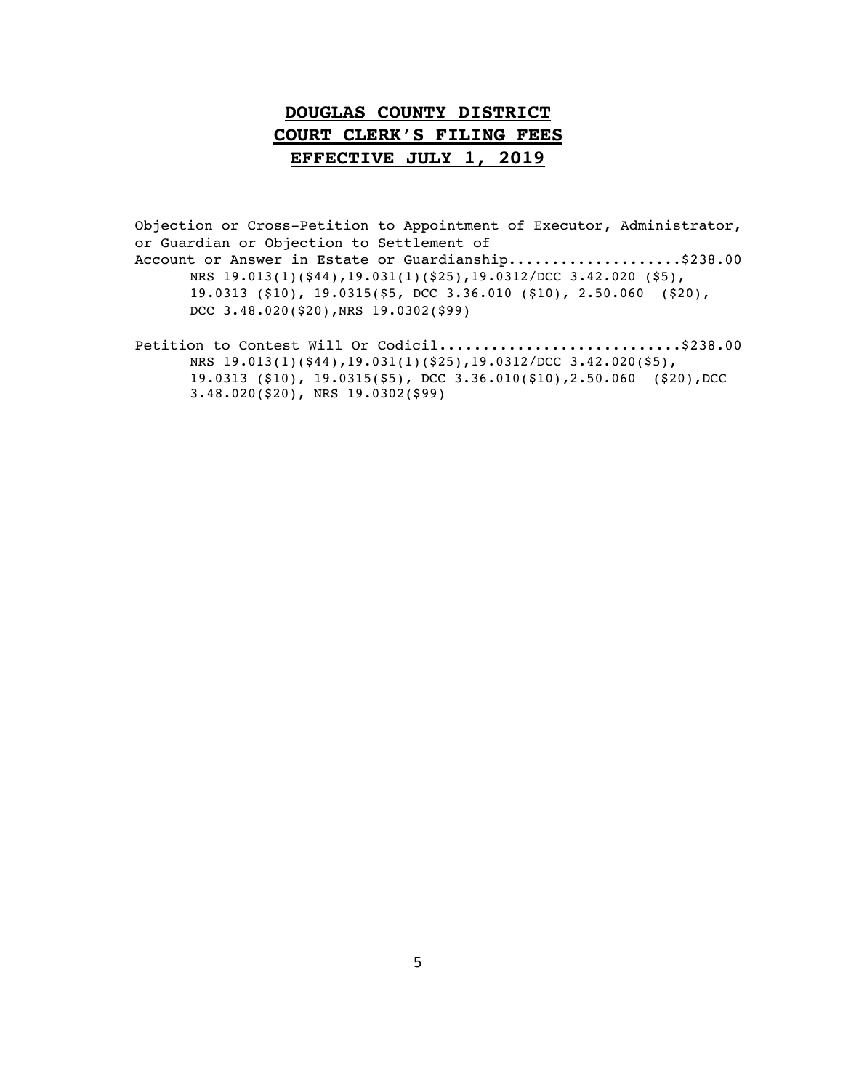Objection or Cross-Petition to Appointment of Executor, Administrator, or Guardian or Objection to Settlement of Account or Answer in Estate or Guardianship....................\$238.00 NRS 19.013(1)(\$44),19.031(1)(\$25),19.0312/DCC 3.42.020 (\$5), 19.0313 (\$10), 19.0315(\$5, DCC 3.36.010 (\$10), 2.50.060 (\$20), DCC 3.48.020(\$20),NRS 19.0302(\$99)

Petition to Contest Will Or Codicil.............................\$238.00 NRS 19.013(1)(\$44),19.031(1)(\$25),19.0312/DCC 3.42.020(\$5), 19.0313 (\$10), 19.0315(\$5), DCC 3.36.010(\$10),2.50.060 (\$20),DCC 3.48.020(\$20), NRS 19.0302(\$99)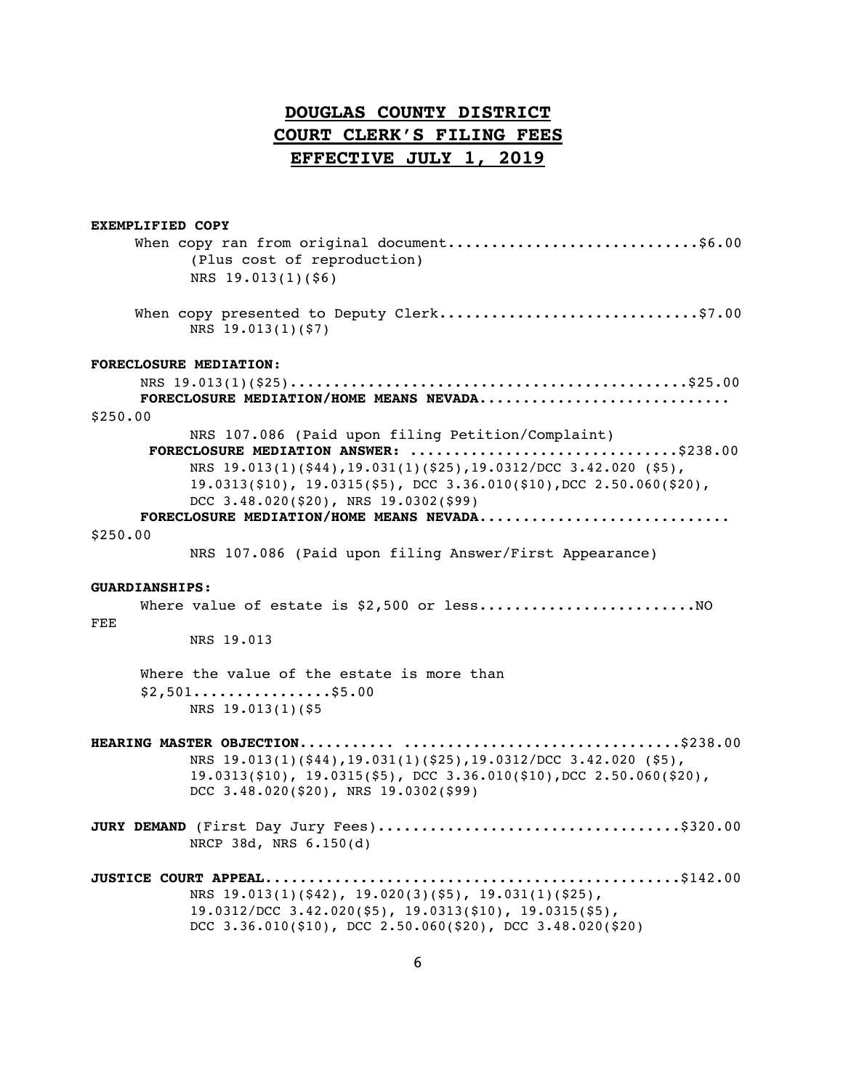| <b>EXEMPLIFIED COPY</b> |                                                                                                                                                                                                                                                                                    |
|-------------------------|------------------------------------------------------------------------------------------------------------------------------------------------------------------------------------------------------------------------------------------------------------------------------------|
|                         | When copy ran from original document\$6.00<br>(Plus cost of reproduction)                                                                                                                                                                                                          |
|                         | NRS 19.013(1)(\$6)                                                                                                                                                                                                                                                                 |
|                         | When copy presented to Deputy Clerk\$7.00<br>NRS 19.013(1)(\$7)                                                                                                                                                                                                                    |
| FORECLOSURE MEDIATION:  |                                                                                                                                                                                                                                                                                    |
|                         |                                                                                                                                                                                                                                                                                    |
| \$250.00                | FORECLOSURE MEDIATION/HOME MEANS NEVADA                                                                                                                                                                                                                                            |
|                         | NRS 107.086 (Paid upon filing Petition/Complaint)                                                                                                                                                                                                                                  |
|                         | FORECLOSURE MEDIATION ANSWER: \$238.00<br>NRS 19.013(1)(\$44), 19.031(1)(\$25), 19.0312/DCC 3.42.020 (\$5),<br>$19.0313(510)$ , $19.0315(55)$ , DCC $3.36.010(510)$ , DCC $2.50.060(520)$ ,<br>DCC $3.48.020(520)$ , NRS $19.0302(599)$<br>FORECLOSURE MEDIATION/HOME MEANS NEVADA |
| \$250.00                |                                                                                                                                                                                                                                                                                    |
|                         | NRS 107.086 (Paid upon filing Answer/First Appearance)                                                                                                                                                                                                                             |
| <b>GUARDIANSHIPS:</b>   |                                                                                                                                                                                                                                                                                    |
|                         |                                                                                                                                                                                                                                                                                    |
| <b>FEE</b>              | NRS 19.013                                                                                                                                                                                                                                                                         |
|                         | Where the value of the estate is more than                                                                                                                                                                                                                                         |
|                         | $$2,501$ \$5.00                                                                                                                                                                                                                                                                    |
|                         | NRS 19.013(1)(\$5                                                                                                                                                                                                                                                                  |
|                         | NRS 19.013(1)(\$44), 19.031(1)(\$25), 19.0312/DCC 3.42.020 (\$5),<br>$19.0313(510)$ , $19.0315(55)$ , DCC $3.36.010(510)$ , DCC $2.50.060(520)$ ,<br>DCC $3.48.020(520)$ , NRS $19.0302(599)$                                                                                      |
|                         | JURY DEMAND (First Day Jury Fees)\$320.00<br>NRCP 38d, NRS 6.150(d)                                                                                                                                                                                                                |
|                         | NRS $19.013(1)(542)$ , $19.020(3)(55)$ , $19.031(1)(525)$ ,<br>19.0312/DCC 3.42.020(\$5), 19.0313(\$10), 19.0315(\$5),<br>DCC $3.36.010(10)$ , DCC $2.50.060(120)$ , DCC $3.48.020(120)$                                                                                           |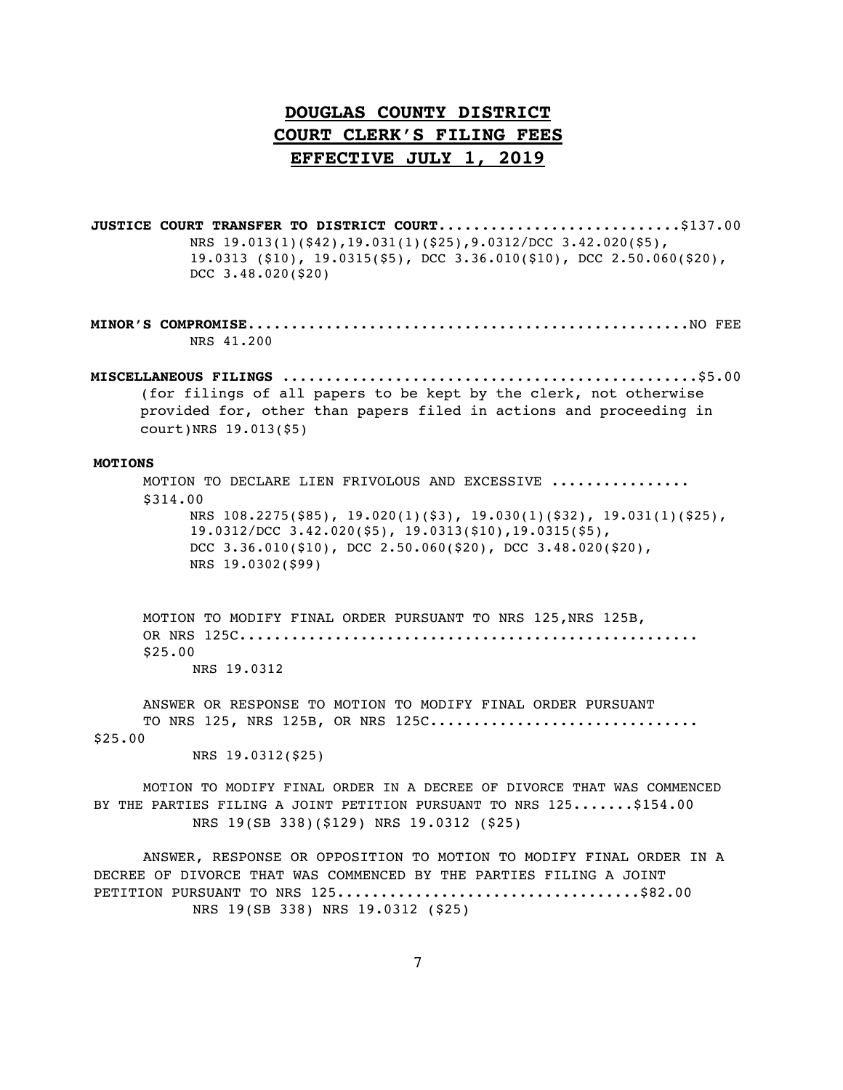**JUSTICE COURT TRANSFER TO DISTRICT COURT...............................\$137.00** NRS 19.013(1)(\$42),19.031(1)(\$25),9.0312/DCC 3.42.020(\$5), 19.0313 (\$10), 19.0315(\$5), DCC 3.36.010(\$10), DCC 2.50.060(\$20), DCC 3.48.020(\$20)

**MINOR'S COMPROMISE**...................................................NO FEE NRS 41.200

**MISCELLANEOUS FILINGS** ................................................\$5.00 (for filings of all papers to be kept by the clerk, not otherwise provided for, other than papers filed in actions and proceeding in court)NRS 19.013(\$5)

### **MOTIONS**

MOTION TO DECLARE LIEN FRIVOLOUS AND EXCESSIVE ............... \$314.00 NRS 108.2275(\$85), 19.020(1)(\$3), 19.030(1)(\$32), 19.031(1)(\$25), 19.0312/DCC 3.42.020(\$5), 19.0313(\$10),19.0315(\$5), DCC 3.36.010(\$10), DCC 2.50.060(\$20), DCC 3.48.020(\$20), NRS 19.0302(\$99)

MOTION TO MODIFY FINAL ORDER PURSUANT TO NRS 125, NRS 125B, OR NRS 125C..................................................... \$25.00 NRS 19.0312

ANSWER OR RESPONSE TO MOTION TO MODIFY FINAL ORDER PURSUANT TO NRS 125, NRS 125B, OR NRS 125C............................... \$25.00

NRS 19.0312(\$25)

MOTION TO MODIFY FINAL ORDER IN A DECREE OF DIVORCE THAT WAS COMMENCED BY THE PARTIES FILING A JOINT PETITION PURSUANT TO NRS 125.......\$154.00 NRS 19(SB 338)(\$129) NRS 19.0312 (\$25)

ANSWER, RESPONSE OR OPPOSITION TO MOTION TO MODIFY FINAL ORDER IN A DECREE OF DIVORCE THAT WAS COMMENCED BY THE PARTIES FILING A JOINT PETITION PURSUANT TO NRS 125...................................\$82.00 NRS 19(SB 338) NRS 19.0312 (\$25)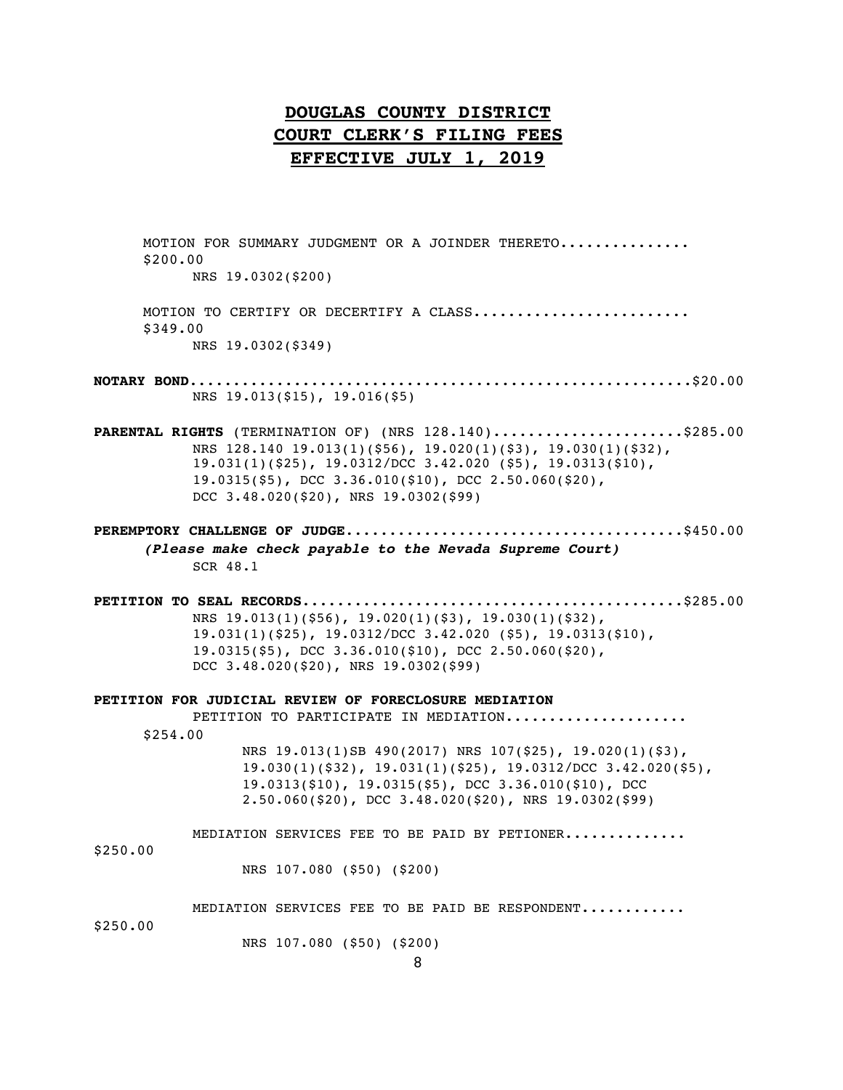MOTION FOR SUMMARY JUDGMENT OR A JOINDER THERETO.............. \$200.00 NRS 19.0302(\$200) MOTION TO CERTIFY OR DECERTIFY A CLASS........................ \$349.00 NRS 19.0302(\$349) **NOTARY BOND**..........................................................\$20.00 NRS 19.013(\$15), 19.016(\$5) **PARENTAL RIGHTS** (TERMINATION OF) (NRS 128.140)......................\$285.00 NRS 128.140 19.013(1)(\$56), 19.020(1)(\$3), 19.030(1)(\$32), 19.031(1)(\$25), 19.0312/DCC 3.42.020 (\$5), 19.0313(\$10), 19.0315(\$5), DCC 3.36.010(\$10), DCC 2.50.060(\$20), DCC 3.48.020(\$20), NRS 19.0302(\$99) **PEREMPTORY CHALLENGE OF JUDGE**.......................................\$450.00 *(Please make check payable to the Nevada Supreme Court)* SCR 48.1 **PETITION TO SEAL RECORDS**............................................\$285.00 NRS 19.013(1)(\$56), 19.020(1)(\$3), 19.030(1)(\$32), 19.031(1)(\$25), 19.0312/DCC 3.42.020 (\$5), 19.0313(\$10), 19.0315(\$5), DCC 3.36.010(\$10), DCC 2.50.060(\$20), DCC 3.48.020(\$20), NRS 19.0302(\$99) **PETITION FOR JUDICIAL REVIEW OF FORECLOSURE MEDIATION** PETITION TO PARTICIPATE IN MEDIATION.................... \$254.00 NRS 19.013(1)SB 490(2017) NRS 107(\$25), 19.020(1)(\$3), 19.030(1)(\$32), 19.031(1)(\$25), 19.0312/DCC 3.42.020(\$5), 19.0313(\$10), 19.0315(\$5), DCC 3.36.010(\$10), DCC 2.50.060(\$20), DCC 3.48.020(\$20), NRS 19.0302(\$99) MEDIATION SERVICES FEE TO BE PAID BY PETIONER..............

\$250.00

NRS 107.080 (\$50) (\$200)

MEDIATION SERVICES FEE TO BE PAID BE RESPONDENT............

\$250.00

NRS 107.080 (\$50) (\$200)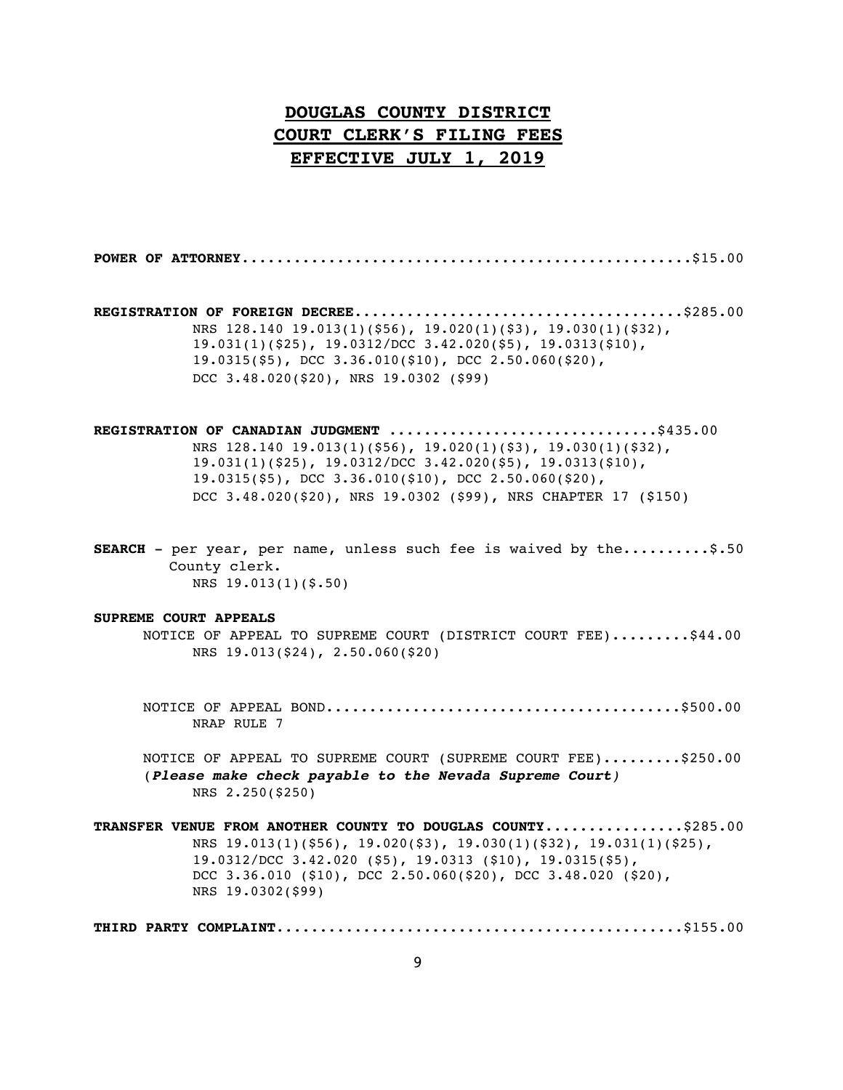**POWER OF ATTORNEY**....................................................\$15.00

**REGISTRATION OF FOREIGN DECREE**......................................\$285.00 NRS 128.140 19.013(1)(\$56), 19.020(1)(\$3), 19.030(1)(\$32), 19.031(1)(\$25), 19.0312/DCC 3.42.020(\$5), 19.0313(\$10), 19.0315(\$5), DCC 3.36.010(\$10), DCC 2.50.060(\$20), DCC 3.48.020(\$20), NRS 19.0302 (\$99)

**REGISTRATION OF CANADIAN JUDGMENT** ...............................\$435.00 NRS 128.140 19.013(1)(\$56), 19.020(1)(\$3), 19.030(1)(\$32), 19.031(1)(\$25), 19.0312/DCC 3.42.020(\$5), 19.0313(\$10), 19.0315(\$5), DCC 3.36.010(\$10), DCC 2.50.060(\$20), DCC 3.48.020(\$20), NRS 19.0302 (\$99), NRS CHAPTER 17 (\$150)

**SEARCH** - per year, per name, unless such fee is waived by the..........\$.50 County clerk. NRS 19.013(1)(\$.50)

### **SUPREME COURT APPEALS**

- NOTICE OF APPEAL TO SUPREME COURT (DISTRICT COURT FEE).........\$44.00 NRS 19.013(\$24), 2.50.060(\$20)
	- NOTICE OF APPEAL BOND.........................................\$500.00 NRAP RULE 7
	- NOTICE OF APPEAL TO SUPREME COURT (SUPREME COURT FEE).........\$250.00 (*Please make check payable to the Nevada Supreme Court)* NRS 2.250(\$250)

**TRANSFER VENUE FROM ANOTHER COUNTY TO DOUGLAS COUNTY**................\$285.00 NRS 19.013(1)(\$56), 19.020(\$3), 19.030(1)(\$32), 19.031(1)(\$25), 19.0312/DCC 3.42.020 (\$5), 19.0313 (\$10), 19.0315(\$5), DCC 3.36.010 (\$10), DCC 2.50.060(\$20), DCC 3.48.020 (\$20), NRS 19.0302(\$99)

**THIRD PARTY COMPLAINT**...............................................\$155.00